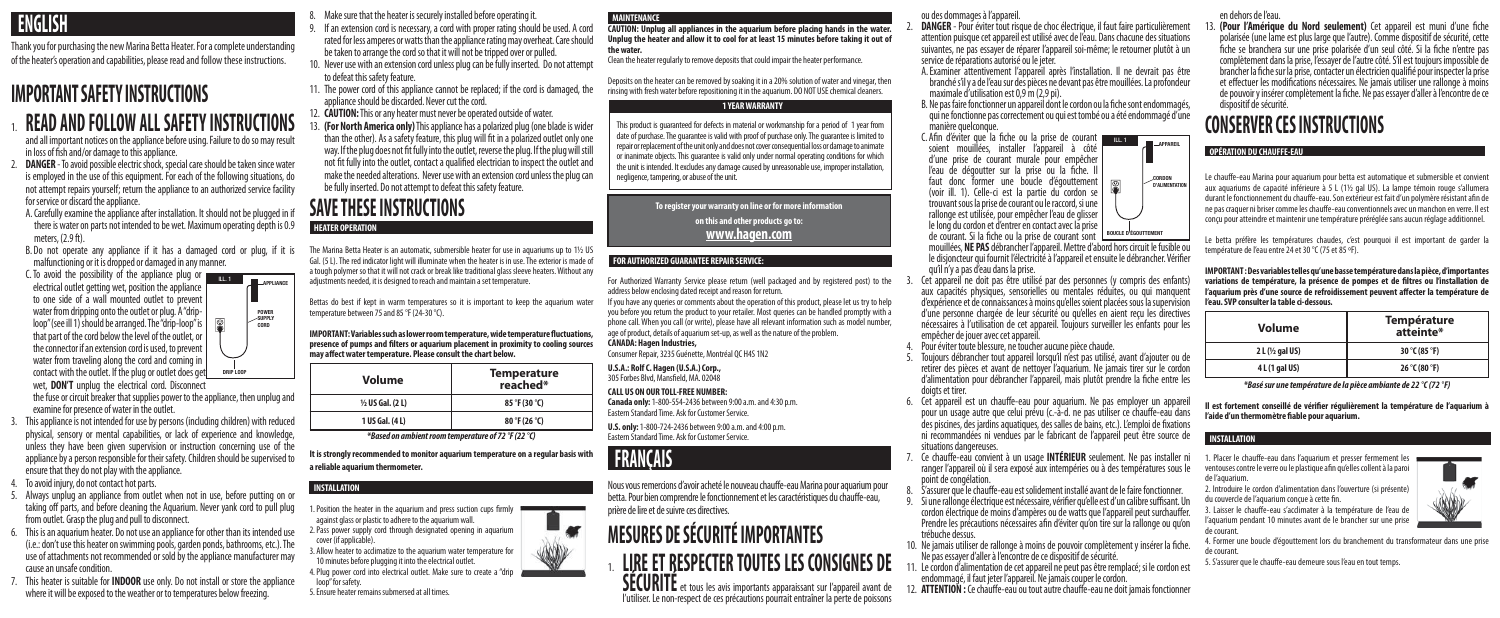

Thank you for purchasing the new Marina Betta Heater. For a complete understanding of the heater's operation and capabilities, please read and follow these instructions.

# **IMPORTANT SAFETY INSTRUCTIONS**

# 1. **READ AND FOLLOW ALL SAFETY INSTRUCTIONS**

and all important notices on the appliance before using. Failure to do so may result in loss of fish and/or damage to this appliance.

- 2. **DANGER** To avoid possible electric shock, special care should be taken since water is employed in the use of this equipment. For each of the following situations, do not attempt repairs yourself; return the appliance to an authorized service facility for service or discard the appliance.
- A. Carefully examine the appliance after installation. It should not be plugged in if there is water on parts not intended to be wet. Maximum operating depth is 0.9 meters, (2.9 ft).
- B. Do not operate any appliance if it has a damaged cord or plug, if it is malfunctioning or it is dropped or damaged in any manner.
- $\overline{C}$ . To avoid the possibility of the appliance plug or  $\overline{C}$ electrical outlet getting wet, position the appliance to one side of a wall mounted outlet to prevent water from dripping onto the outlet or plug. A "driploop" (see ill 1) should be arranged. The "drip-loop" is that part of the cord below the level of the outlet, or the connector if an extension cord is used, to prevent water from traveling along the cord and coming in contact with the outlet. If the plug or outlet does get wet, **DON'T** unplug the electrical cord. Disconnect

the fuse or circuit breaker that supplies power to the appliance, then unplug and examine for presence of water in the outlet.

- 
- ENGLISH 8. Make sure that the heater is securely installed before operating it.<br>19. If an extension cord is necessary, a cord with proper rating should be used. A cord rated for less amperes or watts than the appliance rating may overheat. Care should be taken to arrange the cord so that it will not be tripped over or pulled.
	- 10. Never use with an extension cord unless plug can be fully inserted. Do not attempt to defeat this safety feature.
	- 11. The power cord of this appliance cannot be replaced; if the cord is damaged, the appliance should be discarded. Never cut the cord.
	- 12. **CAUTION:** This or any heater must never be operated outside of water.
	- 13. **(For North America only)** This appliance has a polarized plug (one blade is wider than the other). As a safety feature, this plug will fit in a polarized outlet only one way. If the plug does not fit fully into the outlet, reverse the plug. If the plug will still not fit fully into the outlet, contact a qualified electrician to inspect the outlet and make the needed alterations. Never use with an extension cord unless the plug can be fully inserted. Do not attempt to defeat this safety feature.

- 3. This appliance is not intended for use by persons (including children) with reduced physical, sensory or mental capabilities, or lack of experience and knowledge, unless they have been given supervision or instruction concerning use of the appliance by a person responsible for their safety. Children should be supervised to ensure that they do not play with the appliance.
- 4. To avoid injury, do not contact hot parts.
- 5. Always unplug an appliance from outlet when not in use, before putting on or taking off parts, and before cleaning the Aquarium. Never yank cord to pull plug from outlet. Grasp the plug and pull to disconnect.
- 6. This is an aquarium heater. Do not use an appliance for other than its intended use (i.e.: don't use this heater on swimming pools, garden ponds, bathrooms, etc.). The use of attachments not recommended or sold by the appliance manufacturer may cause an unsafe condition.
- 7. This heater is suitable for **INDOOR** use only. Do not install or store the appliance where it will be exposed to the weather or to temperatures below freezing.

# **SAVE THESE INSTRUCTIONS**

The Marina Betta Heater is an automatic, submersible heater for use in aquariums up to 1½ US Gal. (5 L). The red indicator light will illuminate when the heater is in use. The exterior is made of a tough polymer so that it will not crack or break like traditional glass sleeve heaters. Without any adjustments needed, it is designed to reach and maintain a set temperature.

Bettas do best if kept in warm temperatures so it is important to keep the aquarium water temperature between 75 and 85 °F (24-30 °C).

**IMPORTANT: Variables such as lower room temperature, wide temperature fluctuations, presence of pumps and filters or aquarium placement in proximity to cooling sources may affect water temperature. Please consult the chart below.**

| Volume                      | <b>Temperature</b><br>reached* |
|-----------------------------|--------------------------------|
| $\frac{1}{2}$ US Gal. (2 L) | $85^{\circ}$ F (30 °C)         |
| 1 US Gal. (4 L)             | 80 °F (26 °C)                  |
| $\mathbf{r}$<br>. .         | $2 - 0$ $(0, 0, 0)$            |

*\*Based on ambient room temperature of 72 °F (22 °C)*

**It is strongly recommended to monitor aquarium temperature on a regular basis with a reliable aquarium thermometer.**

1. Position the heater in the aquarium and press suction cups firmly against glass or plastic to adhere to the aquarium wall.

2. Pass power supply cord through designated opening in aquarium cover (if applicable).

3. Allow heater to acclimatize to the aquarium water temperature for 10 minutes before plugging it into the electrical outlet.

4. Plug power cord into electrical outlet. Make sure to create a "drip loop" for safety.

5. Ensure heater remains submersed at all times.

**HEATER OPERATION**

**CAUTION: Unplug all appliances in the aquarium before placing hands in the water. Unplug the heater and allow it to cool for at least 15 minutes before taking it out of the water.** 

Clean the heater regularly to remove deposits that could impair the heater performance.

- **DANGER** Pour éviter tout risque de choc électrique, il faut faire particulièrement attention puisque cet appareil est utilisé avec de l'eau. Dans chacune des situations suivantes, ne pas essayer de réparer l'appareil soi-même; le retourner plutôt à un service de réparations autorisé ou le jeter.
- A. Examiner attentivement l'appareil après l'installation. Il ne devrait pas être branché s'il y a de l'eau sur des pièces ne devant pas être mouillées. La profondeur maximale d'utilisation est 0,9 m (2,9 pi).
- B. Ne pas faire fonctionner un appareil dont le cordon ou la fiche sont endommagés, qui ne fonctionne pas correctement ou qui est tombé ou a été endommagé d'une manière quelconque.
- C. Afin d'éviter que la fiche ou la prise de courant soient mouillées, installer l'appareil à côté d'une prise de courant murale pour empêcher l'eau de dégoutter sur la prise ou la fiche. Il faut donc former une boucle d'égouttement (voir ill. 1). Celle-ci est la partie du cordon se trouvant sous la prise de courant ou le raccord, si une rallonge est utilisée, pour empêcher l'eau de glisser le long du cordon et d'entrer en contact avec la prise de courant. Si la fiche ou la prise de courant sont mouillées, **NE PAS** débrancher l'appareil. Mettre d'abord hors circuit le fusible ou le disjoncteur qui fournit l'électricité à l'appareil et ensuite le débrancher. Vérifier<br>qu'il n'y a pas d'eau dans la prise.
- Cet appareil ne doit pas être utilisé par des personnes (y compris des enfants) aux capacités physiques, sensorielles ou mentales réduites, ou qui manquent d'expérience et de connaissances à moins qu'elles soient placées sous la supervision d'une personne chargée de leur sécurité ou qu'elles en aient reçu les directives nécessaires à l'utilisation de cet appareil. Toujours surveiller les enfants pour les empêcher de jouer avec cet appareil.
- Pour éviter toute blessure, ne toucher aucune pièce chaude.
- 5. Toujours débrancher tout appareil lorsqu'il n'est pas utilisé, avant d'ajouter ou de retirer des pièces et avant de nettoyer l'aquarium. Ne jamais tirer sur le cordon d'alimentation pour débrancher l'appareil, mais plutôt prendre la fiche entre les doigts et tirer.<br>6. Cet appareil est un chauffe-eau pour aquarium. Ne pas employer un appareil
- pour un usage autre que celui prévu (c.-à-d. ne pas utiliser ce chauffe-eau dans des piscines, des jardins aquatiques, des salles de bains, etc.). L'emploi de fixations ni recommandées ni vendues par le fabricant de l'appareil peut être source de situations dangereuses.
- 7. Ce chauffe-eau convient à un usage **INTÉRIEUR** seulement. Ne pas installer ni ranger l'appareil où il sera exposé aux intempéries ou à des températures sous le point de congélation.
- 8. S'assurer que le chauffe-eau est solidement installé avant de le faire fonctionner.
- 9. Si une rallonge électrique est nécessaire, vérifier qu'elle est d'un calibre suffisant. Un cordon électrique de moins d'ampères ou de watts que l'appareil peut surchauffer. Prendre les précautions nécessaires afin d'éviter qu'on tire sur la rallonge ou qu'on trébuche dessus.
- 10. Ne jamais utiliser de rallonge à moins de pouvoir complètement y insérer la fiche. Ne pas essayer d'aller à l'encontre de ce dispositif de sécurité.
- 11. Le cordon d'alimentation de cet appareil ne peut pas être remplacé; si le cordon est endommagé, il faut jeter l'appareil. Ne jamais couper le cordon.
- 12. **ATTENTION :** Ce chauffe-eau ou tout autre chauffe-eau ne doit jamais fonctionner

Deposits on the heater can be removed by soaking it in a 20% solution of water and vinegar, then rinsing with fresh water before repositioning it in the aquarium. DO NOT USE chemical cleaners.

For Authorized Warranty Service please return (well packaged and by registered post) to the address below enclosing dated receipt and reason for return.

If you have any queries or comments about the operation of this product, please let us try to help you before you return the product to your retailer. Most queries can be handled promptly with a phone call. When you call (or write), please have all relevant information such as model number, age of product, details of aquarium set-up, as well as the nature of the problem.

#### **CANADA: Hagen Industries,**

Consumer Repair, 3235 Guénette, Montréal QC H4S 1N2

**U.S.A.: Rolf C. Hagen (U.S.A.) Corp.,**  305 Forbes Blvd, Mansfield, MA. 02048

#### **CALL US ON OUR TOLL-FREE NUMBER:**

**Canada only:** 1-800-554-2436 between 9:00 a.m. and 4:30 p.m. Eastern Standard Time. Ask for Customer Service.

> 1. Placer le chauffe-eau dans l'aquarium et presser fermement les ventouses contre le verre ou le plastique afin qu'elles collent à la paroi de l'aquarium.

**U.S. only:** 1-800-724-2436 between 9:00 a.m. and 4:00 p.m. Eastern Standard Time. Ask for Customer Service.

Nous vous remercions d'avoir acheté le nouveau chauffe-eau Marina pour aquarium pour betta. Pour bien comprendre le fonctionnement et les caractéristiques du chauffe-eau, prière de lire et de suivre ces directives.

# **MESURES DE SÉCURITÉ IMPORTANTES**

1. **LIRE ET RESPECTER TOUTES LES CONSIGNES DE SÉCURITÉ** et tous les avis importants apparaissant sur l'appareil avant de

l'utiliser. Le non-respect de ces précautions pourrait entraîner la perte de poissons

### **INSTALLATION**

#### **MAINTENANCE**

This product is guaranteed for defects in material or workmanship for a period of 1 year from date of purchase. The guarantee is valid with proof of purchase only. The guarantee is limited to repair or replacement of the unit only and does not cover consequential loss or damage to animate or inanimate objects. This guarantee is valid only under normal operating conditions for which the unit is intended. It excludes any damage caused by unreasonable use, improper installation, negligence, tampering, or abuse of the unit.

### **1 YEAR WARRANTY**

**To register your warranty on line or for more information on this and other products go to: www.hagen.com**

### **FOR AUTHORIZED GUARANTEE REPAIR SERVICE:**

ou des dommages à l'appareil.

### **FRANÇAIS**

en dehors de l'eau.

13. **(Pour l'Amérique du Nord seulement)** Cet appareil est muni d'une fiche polarisée (une lame est plus large que l'autre). Comme dispositif de sécurité, cette fiche se branchera sur une prise polarisée d'un seul côté. Si la fiche n'entre pas complètement dans la prise, l'essayer de l'autre côté. S'il est toujours impossible de brancher la fiche sur la prise, contacter un électricien qualifié pour inspecter la prise et effectuer les modifications nécessaires. Ne jamais utiliser une rallonge à moins de pouvoir y insérer complètement la fiche. Ne pas essayer d'aller à l'encontre de ce dispositif de sécurité.

# **CONSERVER CES INSTRUCTIONS**

Le chauffe-eau Marina pour aquarium pour betta est automatique et submersible et convient aux aquariums de capacité inférieure à 5 L (1½ gal US). La lampe témoin rouge s'allumera durant le fonctionnement du chauffe-eau. Son extérieur est fait d'un polymère résistant afin de ne pas craquer ni briser comme les chauffe-eau conventionnels avec un manchon en verre. Il est conçu pour atteindre et maintenir une température préréglée sans aucun réglage additionnel.

Le betta préfère les températures chaudes, c'est pourquoi il est important de garder la température de l'eau entre 24 et 30 °C (75 et 85 ºF).

**IMPORTANT : Des variables telles qu'une basse température dans la pièce, d'importantes variations de température, la présence de pompes et de filtres ou l'installation de l'aquarium près d'une source de refroidissement peuvent affecter la température de l'eau. SVP consulter la table ci-dessous.**

| Volume                        | <b>Température</b><br>atteinte* |
|-------------------------------|---------------------------------|
| $2 L$ ( $\frac{1}{2}$ gal US) | 30 °C (85 °F)                   |
| 4 L (1 gal US)                | 26 °C (80 °F)                   |

*\*Basé sur une température de la pièce ambiante de 22 °C (72 °F)*

**Il est fortement conseillé de vérifier régulièrement la température de l'aquarium à l'aide d'un thermomètre fiable pour aquarium.**

2. Introduire le cordon d'alimentation dans l'ouverture (si présente) du couvercle de l'aquarium conçue à cette fin.

3. Laisser le chauffe-eau s'acclimater à la température de l'eau de l'aquarium pendant 10 minutes avant de le brancher sur une prise de courant.

4. Former une boucle d'égouttement lors du branchement du transformateur dans une prise de courant.

5. S'assurer que le chauffe-eau demeure sous l'eau en tout temps.



#### **INSTALLATION**



#### **OPÉRATION DU CHAUFFE-EAU**